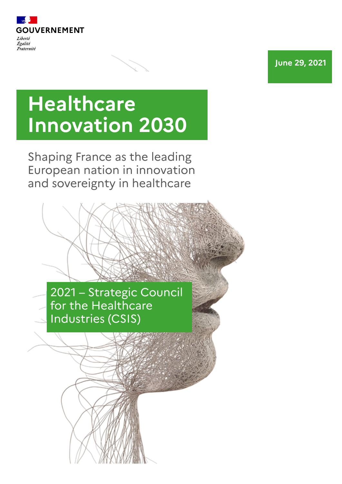

**June 29, 2021**

# **Healthcare Innovation 2030**

Shaping France as the leading European nation in innovation and sovereignty in healthcare

> 2021 – Strategic Council for the Healthcare Industries (CSIS)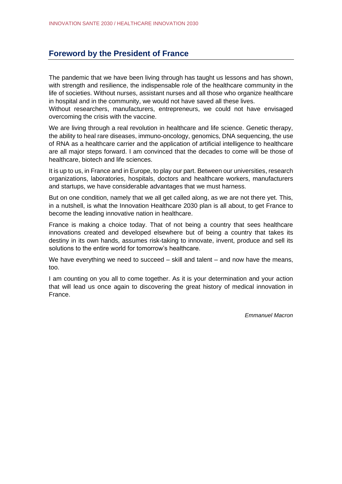## **Foreword by the President of France**

The pandemic that we have been living through has taught us lessons and has shown, with strength and resilience, the indispensable role of the healthcare community in the life of societies. Without nurses, assistant nurses and all those who organize healthcare in hospital and in the community, we would not have saved all these lives.

Without researchers, manufacturers, entrepreneurs, we could not have envisaged overcoming the crisis with the vaccine.

We are living through a real revolution in healthcare and life science. Genetic therapy, the ability to heal rare diseases, immuno-oncology, genomics, DNA sequencing, the use of RNA as a healthcare carrier and the application of artificial intelligence to healthcare are all major steps forward. I am convinced that the decades to come will be those of healthcare, biotech and life sciences.

It is up to us, in France and in Europe, to play our part. Between our universities, research organizations, laboratories, hospitals, doctors and healthcare workers, manufacturers and startups, we have considerable advantages that we must harness.

But on one condition, namely that we all get called along, as we are not there yet. This, in a nutshell, is what the Innovation Healthcare 2030 plan is all about, to get France to become the leading innovative nation in healthcare.

France is making a choice today. That of not being a country that sees healthcare innovations created and developed elsewhere but of being a country that takes its destiny in its own hands, assumes risk-taking to innovate, invent, produce and sell its solutions to the entire world for tomorrow's healthcare.

We have everything we need to succeed – skill and talent – and now have the means, too.

I am counting on you all to come together. As it is your determination and your action that will lead us once again to discovering the great history of medical innovation in France.

*Emmanuel Macron*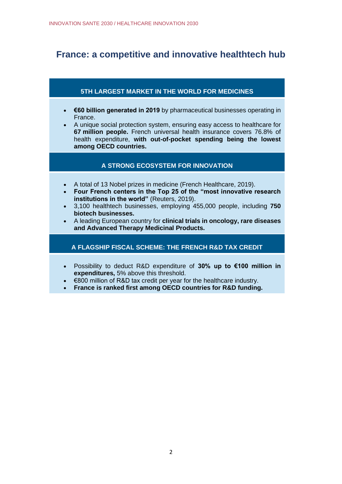# **France: a competitive and innovative healthtech hub**

## **5TH LARGEST MARKET IN THE WORLD FOR MEDICINES**

- **€60 billion generated in 2019** by pharmaceutical businesses operating in France.
- A unique social protection system, ensuring easy access to healthcare for **67 million people.** French universal health insurance covers 76.8% of health expenditure, **with out-of-pocket spending being the lowest among OECD countries.**

## **A STRONG ECOSYSTEM FOR INNOVATION**

- A total of 13 Nobel prizes in medicine (French Healthcare, 2019).
- **Four French centers in the Top 25 of the "most innovative research institutions in the world"** (Reuters, 2019).
- 3,100 healthtech businesses, employing 455,000 people, including **750 biotech businesses.**
- A leading European country for **clinical trials in oncology, rare diseases and Advanced Therapy Medicinal Products.**

## **A FLAGSHIP FISCAL SCHEME: THE FRENCH R&D TAX CREDIT**

- Possibility to deduct R&D expenditure of **30% up to €100 million in expenditures,** 5% above this threshold.
- €800 million of R&D tax credit per year for the healthcare industry.
- **France is ranked first among OECD countries for R&D funding.**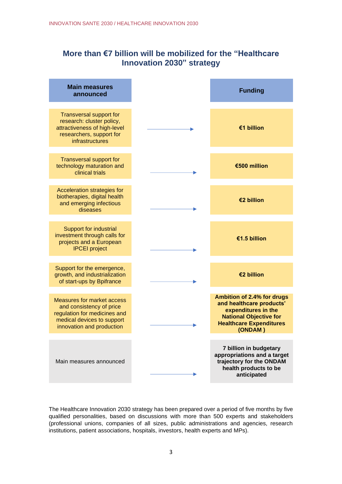## **More than €7 billion will be mobilized for the "Healthcare Innovation 2030" strategy**

| <b>Main measures</b><br>announced                                                                                                                        | <b>Funding</b>                                                                                                                                              |
|----------------------------------------------------------------------------------------------------------------------------------------------------------|-------------------------------------------------------------------------------------------------------------------------------------------------------------|
| <b>Transversal support for</b><br>research: cluster policy,<br>attractiveness of high-level<br>researchers, support for<br><b>infrastructures</b>        | €1 billion                                                                                                                                                  |
| <b>Transversal support for</b><br>technology maturation and<br>clinical trials                                                                           | €500 million                                                                                                                                                |
| Acceleration strategies for<br>biotherapies, digital health<br>and emerging infectious<br>diseases                                                       | €2 billion                                                                                                                                                  |
| <b>Support for industrial</b><br>investment through calls for<br>projects and a European<br><b>IPCEI</b> project                                         | €1.5 billion                                                                                                                                                |
| Support for the emergence,<br>growth, and industrialization<br>of start-ups by Bpifrance                                                                 | €2 billion                                                                                                                                                  |
| <b>Measures for market access</b><br>and consistency of price<br>regulation for medicines and<br>medical devices to support<br>innovation and production | Ambition of 2.4% for drugs<br>and healthcare products'<br>expenditures in the<br><b>National Objective for</b><br><b>Healthcare Expenditures</b><br>(ONDAM) |
| Main measures announced                                                                                                                                  | 7 billion in budgetary<br>appropriations and a target<br>trajectory for the ONDAM<br>health products to be<br>anticipated                                   |

The Healthcare Innovation 2030 strategy has been prepared over a period of five months by five qualified personalities, based on discussions with more than 500 experts and stakeholders (professional unions, companies of all sizes, public administrations and agencies, research institutions, patient associations, hospitals, investors, health experts and MPs).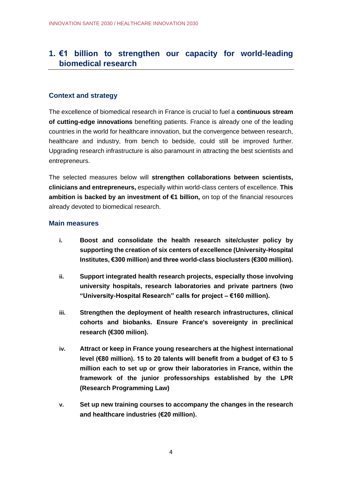# **1. €1 billion to strengthen our capacity for world-leading biomedical research**

#### **Context and strategy**

The excellence of biomedical research in France is crucial to fuel a **continuous stream of cutting-edge innovations** benefiting patients. France is already one of the leading countries in the world for healthcare innovation, but the convergence between research, healthcare and industry, from bench to bedside, could still be improved further. Upgrading research infrastructure is also paramount in attracting the best scientists and entrepreneurs.

The selected measures below will **strengthen collaborations between scientists, clinicians and entrepreneurs,** especially within world-class centers of excellence. **This ambition is backed by an investment of €1 billion,** on top of the financial resources already devoted to biomedical research.

- **i. Boost and consolidate the health research site/cluster policy by supporting the creation of six centers of excellence (University-Hospital Institutes, €300 million) and three world-class bioclusters (€300 million).**
- **ii. Support integrated health research projects, especially those involving university hospitals, research laboratories and private partners (two "University-Hospital Research" calls for project – €160 million).**
- **iii. Strengthen the deployment of health research infrastructures, clinical cohorts and biobanks. Ensure France's sovereignty in preclinical research (€300 milion).**
- **iv. Attract or keep in France young researchers at the highest international level (€80 million). 15 to 20 talents will benefit from a budget of €3 to 5 million each to set up or grow their laboratories in France, within the framework of the junior professorships established by the LPR (Research Programming Law)**
- **v. Set up new training courses to accompany the changes in the research and healthcare industries (€20 million).**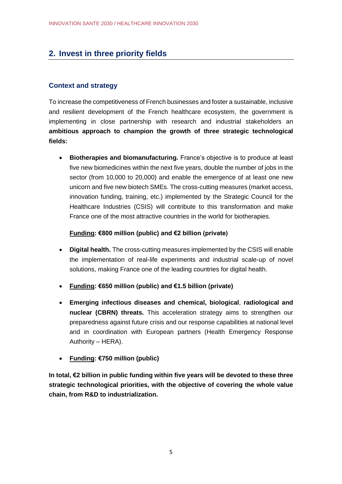# **2. Invest in three priority fields**

## **Context and strategy**

To increase the competitiveness of French businesses and foster a sustainable, inclusive and resilient development of the French healthcare ecosystem, the government is implementing in close partnership with research and industrial stakeholders an **ambitious approach to champion the growth of three strategic technological fields:**

• **Biotherapies and biomanufacturing.** France's objective is to produce at least five new biomedicines within the next five years, double the number of jobs in the sector (from 10,000 to 20,000) and enable the emergence of at least one new unicorn and five new biotech SMEs. The cross-cutting measures (market access, innovation funding, training, etc.) implemented by the Strategic Council for the Healthcare Industries (CSIS) will contribute to this transformation and make France one of the most attractive countries in the world for biotherapies.

## **Funding: €800 million (public) and €2 billion (private)**

- **Digital health.** The cross-cutting measures implemented by the CSIS will enable the implementation of real-life experiments and industrial scale-up of novel solutions, making France one of the leading countries for digital health.
- **Funding: €650 million (public) and €1.5 billion (private)**
- **Emerging infectious diseases and chemical, biological**, **radiological and nuclear (CBRN) threats.** This acceleration strategy aims to strengthen our preparedness against future crisis and our response capabilities at national level and in coordination with European partners (Health Emergency Response Authority – HERA).
- **Funding: €750 million (public)**

**In total, €2 billion in public funding within five years will be devoted to these three strategic technological priorities, with the objective of covering the whole value chain, from R&D to industrialization.**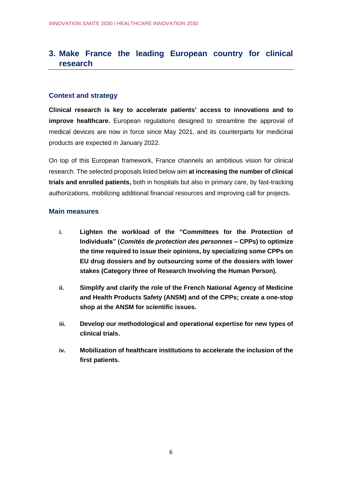# **3. Make France the leading European country for clinical research**

#### **Context and strategy**

**Clinical research is key to accelerate patients' access to innovations and to improve healthcare.** European regulations designed to streamline the approval of medical devices are now in force since May 2021, and its counterparts for medicinal products are expected in January 2022.

On top of this European framework, France channels an ambitious vision for clinical research. The selected proposals listed below aim **at increasing the number of clinical trials and enrolled patients,** both in hospitals but also in primary care, by fast-tracking authorizations, mobilizing additional financial resources and improving call for projects.

- **i. Lighten the workload of the "Committees for the Protection of Individuals" (***Comités de protection des personnes* **– CPPs) to optimize the time required to issue their opinions, by specializing some CPPs on EU drug dossiers and by outsourcing some of the dossiers with lower stakes (Category three of Research Involving the Human Person).**
- **ii. Simplify and clarify the role of the French National Agency of Medicine and Health Products Safety (ANSM) and of the CPPs; create a one-stop shop at the ANSM for scientific issues.**
- **iii. Develop our methodological and operational expertise for new types of clinical trials.**
- **iv. Mobilization of healthcare institutions to accelerate the inclusion of the first patients.**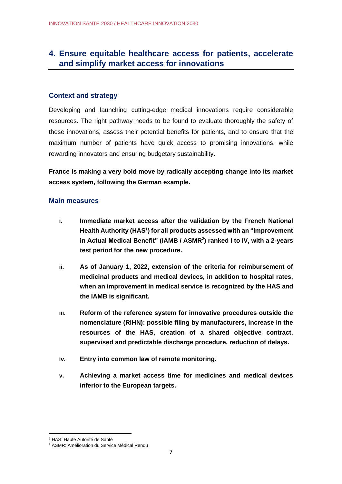# **4. Ensure equitable healthcare access for patients, accelerate and simplify market access for innovations**

#### **Context and strategy**

Developing and launching cutting-edge medical innovations require considerable resources. The right pathway needs to be found to evaluate thoroughly the safety of these innovations, assess their potential benefits for patients, and to ensure that the maximum number of patients have quick access to promising innovations, while rewarding innovators and ensuring budgetary sustainability.

**France is making a very bold move by radically accepting change into its market access system, following the German example.**

- **i. Immediate market access after the validation by the French National Health Authority (HAS<sup>1</sup> ) for all products assessed with an "Improvement in Actual Medical Benefit" (IAMB / ASMR<sup>2</sup> ) ranked I to IV, with a 2-years test period for the new procedure.**
- **ii. As of January 1, 2022, extension of the criteria for reimbursement of medicinal products and medical devices, in addition to hospital rates, when an improvement in medical service is recognized by the HAS and the IAMB is significant.**
- **iii. Reform of the reference system for innovative procedures outside the nomenclature (RIHN): possible filing by manufacturers, increase in the resources of the HAS, creation of a shared objective contract, supervised and predictable discharge procedure, reduction of delays.**
- **iv. Entry into common law of remote monitoring.**
- **v. Achieving a market access time for medicines and medical devices inferior to the European targets.**

<sup>1</sup> HAS: Haute Autorité de Santé

<sup>2</sup> ASMR: Amélioration du Service Médical Rendu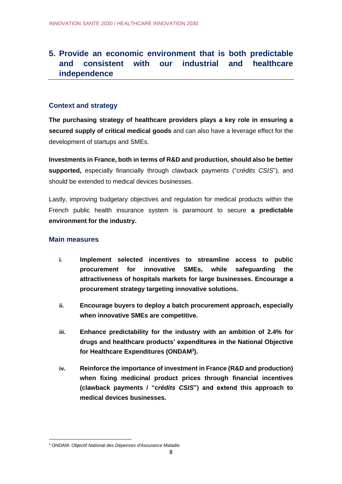# **5. Provide an economic environment that is both predictable and consistent with our industrial and healthcare independence**

## **Context and strategy**

**The purchasing strategy of healthcare providers plays a key role in ensuring a secured supply of critical medical goods** and can also have a leverage effect for the development of startups and SMEs.

**Investments in France, both in terms of R&D and production, should also be better supported,** especially financially through clawback payments ("*crédits CSIS*"), and should be extended to medical devices businesses.

Lastly, improving budgetary objectives and regulation for medical products within the French public health insurance system is paramount to secure **a predictable environment for the industry.**

- **i. Implement selected incentives to streamline access to public procurement for innovative SMEs, while safeguarding the attractiveness of hospitals markets for large businesses. Encourage a procurement strategy targeting innovative solutions.**
- **ii. Encourage buyers to deploy a batch procurement approach, especially when innovative SMEs are competitive.**
- **iii. Enhance predictability for the industry with an ambition of 2.4% for drugs and healthcare products' expenditures in the National Objective for Healthcare Expenditures (ONDAM<sup>3</sup> ).**
- **iv. Reinforce the importance of investment in France (R&D and production) when fixing medicinal product prices through financial incentives (clawback payments / "***crédits CSIS***") and extend this approach to medical devices businesses.**

<sup>3</sup> ONDAM: *Objectif National des Dépenses d'Assurance Maladie*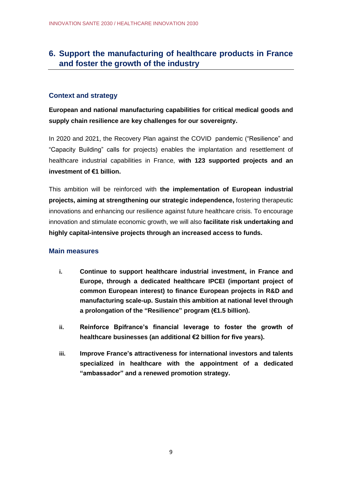# **6. Support the manufacturing of healthcare products in France and foster the growth of the industry**

#### **Context and strategy**

**European and national manufacturing capabilities for critical medical goods and supply chain resilience are key challenges for our sovereignty.**

In 2020 and 2021, the Recovery Plan against the COVID pandemic ("Resilience" and "Capacity Building" calls for projects) enables the implantation and resettlement of healthcare industrial capabilities in France, **with 123 supported projects and an investment of €1 billion.**

This ambition will be reinforced with **the implementation of European industrial projects, aiming at strengthening our strategic independence,** fostering therapeutic innovations and enhancing our resilience against future healthcare crisis. To encourage innovation and stimulate economic growth, we will also **facilitate risk undertaking and highly capital-intensive projects through an increased access to funds.**

- **i. Continue to support healthcare industrial investment, in France and Europe, through a dedicated healthcare IPCEI (important project of common European interest) to finance European projects in R&D and manufacturing scale-up. Sustain this ambition at national level through a prolongation of the "Resilience" program (€1.5 billion).**
- **ii. Reinforce Bpifrance's financial leverage to foster the growth of healthcare businesses (an additional €2 billion for five years).**
- **iii. Improve France's attractiveness for international investors and talents specialized in healthcare with the appointment of a dedicated "ambassador" and a renewed promotion strategy.**